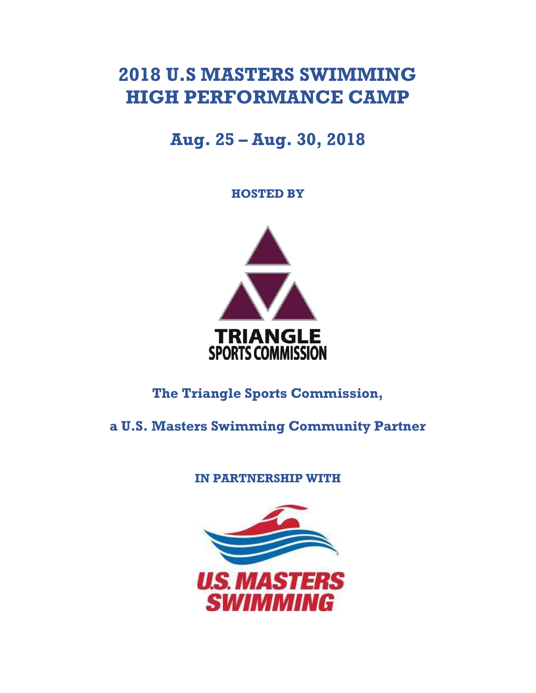# **2018 U.S MASTERS SWIMMING HIGH PERFORMANCE CAMP**

## **Aug. 25 – Aug. 30, 2018**

**HOSTED BY**



**The Triangle Sports Commission,** 

**a U.S. Masters Swimming Community Partner**

**IN PARTNERSHIP WITH**

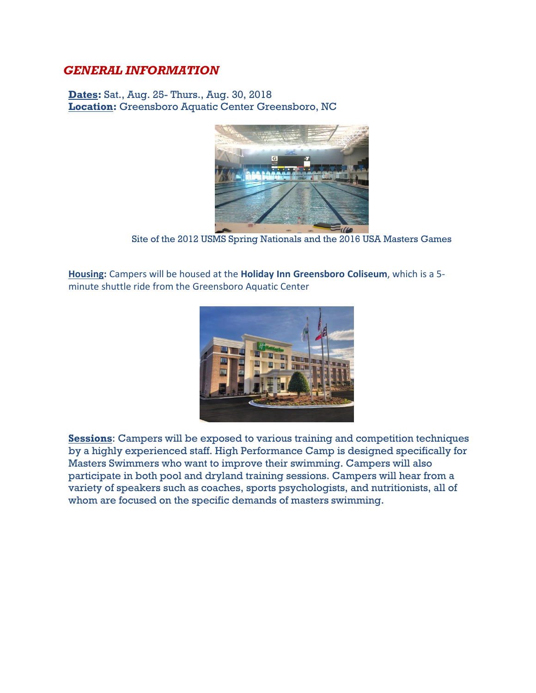### *GENERAL INFORMATION*

**Dates:** Sat., Aug. 25- Thurs., Aug. 30, 2018 **Location:** Greensboro Aquatic Center Greensboro, NC



Site of the 2012 USMS Spring Nationals and the 2016 USA Masters Games

**Housing:** Campers will be housed at the **Holiday Inn Greensboro Coliseum**, which is a 5 minute shuttle ride from the Greensboro Aquatic Center



**Sessions**: Campers will be exposed to various training and competition techniques by a highly experienced staff. High Performance Camp is designed specifically for Masters Swimmers who want to improve their swimming. Campers will also participate in both pool and dryland training sessions. Campers will hear from a variety of speakers such as coaches, sports psychologists, and nutritionists, all of whom are focused on the specific demands of masters swimming.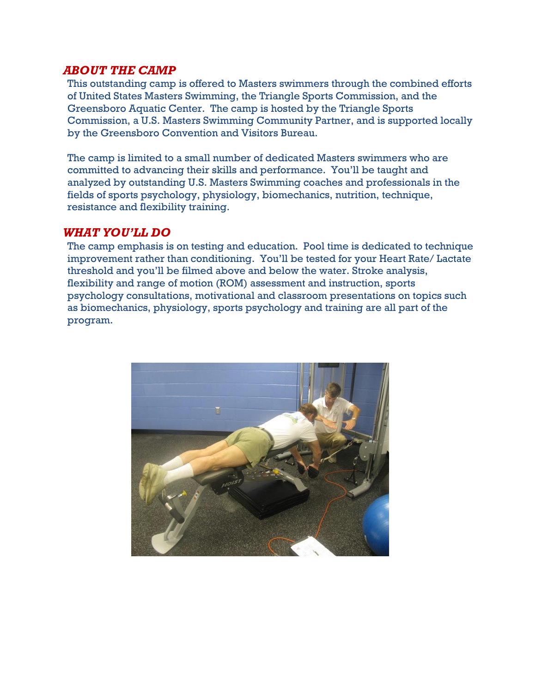#### *ABOUT THE CAMP*

This outstanding camp is offered to Masters swimmers through the combined efforts of United States Masters Swimming, the Triangle Sports Commission, and the Greensboro Aquatic Center. The camp is hosted by the Triangle Sports Commission, a U.S. Masters Swimming Community Partner, and is supported locally by the Greensboro Convention and Visitors Bureau.

The camp is limited to a small number of dedicated Masters swimmers who are committed to advancing their skills and performance. You'll be taught and analyzed by outstanding U.S. Masters Swimming coaches and professionals in the fields of sports psychology, physiology, biomechanics, nutrition, technique, resistance and flexibility training.

#### *WHAT YOU'LL DO*

The camp emphasis is on testing and education. Pool time is dedicated to technique improvement rather than conditioning. You'll be tested for your Heart Rate/ Lactate threshold and you'll be filmed above and below the water. Stroke analysis, flexibility and range of motion (ROM) assessment and instruction, sports psychology consultations, motivational and classroom presentations on topics such as biomechanics, physiology, sports psychology and training are all part of the program.

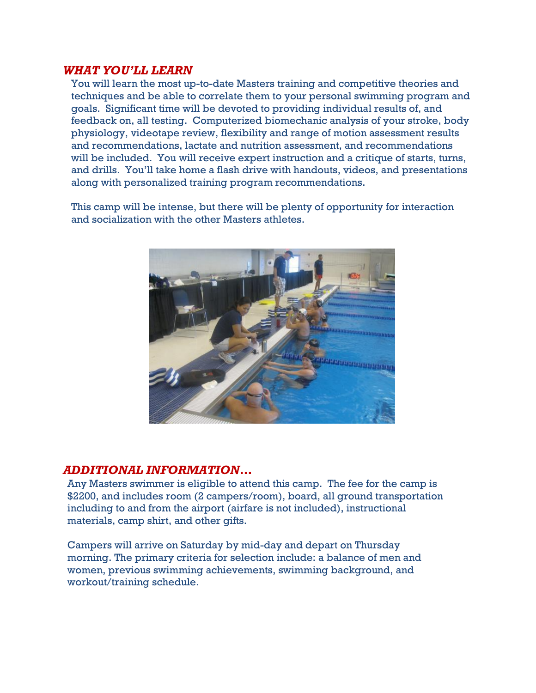#### *WHAT YOU'LL LEARN*

You will learn the most up-to-date Masters training and competitive theories and techniques and be able to correlate them to your personal swimming program and goals. Significant time will be devoted to providing individual results of, and feedback on, all testing. Computerized biomechanic analysis of your stroke, body physiology, videotape review, flexibility and range of motion assessment results and recommendations, lactate and nutrition assessment, and recommendations will be included. You will receive expert instruction and a critique of starts, turns, and drills. You'll take home a flash drive with handouts, videos, and presentations along with personalized training program recommendations.

This camp will be intense, but there will be plenty of opportunity for interaction and socialization with the other Masters athletes.



#### *ADDITIONAL INFORMATION…*

Any Masters swimmer is eligible to attend this camp. The fee for the camp is \$2200, and includes room (2 campers/room), board, all ground transportation including to and from the airport (airfare is not included), instructional materials, camp shirt, and other gifts.

Campers will arrive on Saturday by mid-day and depart on Thursday morning. The primary criteria for selection include: a balance of men and women, previous swimming achievements, swimming background, and workout/training schedule.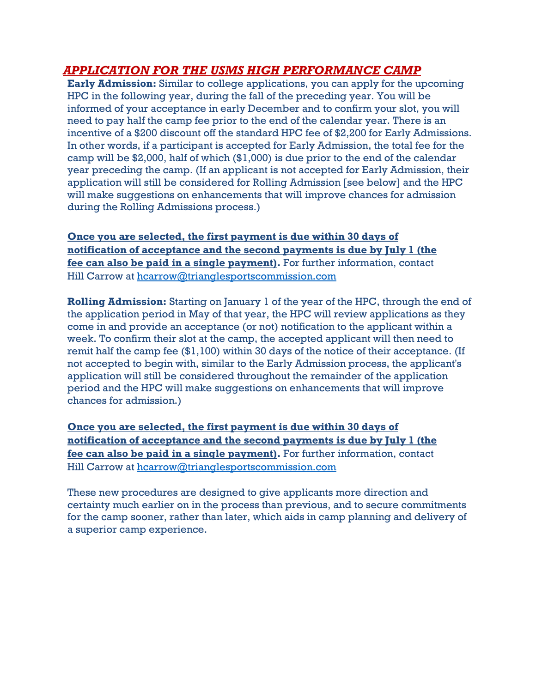## *APPLICATION FOR THE USMS HIGH PERFORMANCE CAMP*

**Early Admission:** Similar to college applications, you can apply for the upcoming HPC in the following year, during the fall of the preceding year. You will be informed of your acceptance in early December and to confirm your slot, you will need to pay half the camp fee prior to the end of the calendar year. There is an incentive of a \$200 discount off the standard HPC fee of \$2,200 for Early Admissions. In other words, if a participant is accepted for Early Admission, the total fee for the camp will be \$2,000, half of which (\$1,000) is due prior to the end of the calendar year preceding the camp. (If an applicant is not accepted for Early Admission, their application will still be considered for Rolling Admission [see below] and the HPC will make suggestions on enhancements that will improve chances for admission during the Rolling Admissions process.)

**Once you are selected, the first payment is due within 30 days of notification of acceptance and the second payments is due by July 1 (the fee can also be paid in a single payment).** For further information, contact Hill Carrow at [hcarrow@trianglesportscommission.com](mailto:froy@trianglesportscommission.com)

**Rolling Admission:** Starting on January 1 of the year of the HPC, through the end of the application period in May of that year, the HPC will review applications as they come in and provide an acceptance (or not) notification to the applicant within a week. To confirm their slot at the camp, the accepted applicant will then need to remit half the camp fee (\$1,100) within 30 days of the notice of their acceptance. (If not accepted to begin with, similar to the Early Admission process, the applicant's application will still be considered throughout the remainder of the application period and the HPC will make suggestions on enhancements that will improve chances for admission.)

**Once you are selected, the first payment is due within 30 days of notification of acceptance and the second payments is due by July 1 (the fee can also be paid in a single payment).** For further information, contact Hill Carrow at [hcarrow@trianglesportscommission.com](mailto:froy@trianglesportscommission.com)

These new procedures are designed to give applicants more direction and certainty much earlier on in the process than previous, and to secure commitments for the camp sooner, rather than later, which aids in camp planning and delivery of a superior camp experience.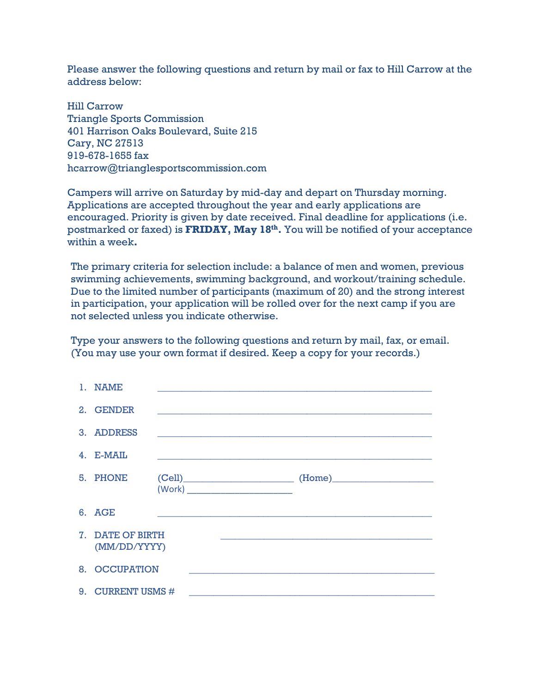Please answer the following questions and return by mail or fax to Hill Carrow at the address below:

Hill Carrow Triangle Sports Commission 401 Harrison Oaks Boulevard, Suite 215 Cary, NC 27513 919-678-1655 fax hcarrow@trianglesportscommission.com

Campers will arrive on Saturday by mid-day and depart on Thursday morning. Applications are accepted throughout the year and early applications are encouraged. Priority is given by date received. Final deadline for applications (i.e. postmarked or faxed) is **FRIDAY, May 18th .** You will be notified of your acceptance within a week**.** 

The primary criteria for selection include: a balance of men and women, previous swimming achievements, swimming background, and workout/training schedule. Due to the limited number of participants (maximum of 20) and the strong interest in participation, your application will be rolled over for the next camp if you are not selected unless you indicate otherwise.

Type your answers to the following questions and return by mail, fax, or email. (You may use your own format if desired. Keep a copy for your records.)

| 1. NAME                          |  |  |  |                                      |                                                                                       |  |  |  |
|----------------------------------|--|--|--|--------------------------------------|---------------------------------------------------------------------------------------|--|--|--|
| 2. GENDER                        |  |  |  |                                      |                                                                                       |  |  |  |
| 3. ADDRESS                       |  |  |  |                                      |                                                                                       |  |  |  |
| $4.$ E-MAIL                      |  |  |  |                                      |                                                                                       |  |  |  |
| 5. PHONE                         |  |  |  | (Work) _____________________________ | $\begin{tabular}{c} (Cell) \hspace{2.5cm} (Home) \hspace{2.5cm} (11.0) \end{tabular}$ |  |  |  |
| 6. AGE                           |  |  |  |                                      |                                                                                       |  |  |  |
| 7. DATE OF BIRTH<br>(MM/DD/YYYY) |  |  |  |                                      |                                                                                       |  |  |  |
| 8. OCCUPATION                    |  |  |  |                                      |                                                                                       |  |  |  |
| 9. CURRENT USMS #                |  |  |  |                                      |                                                                                       |  |  |  |